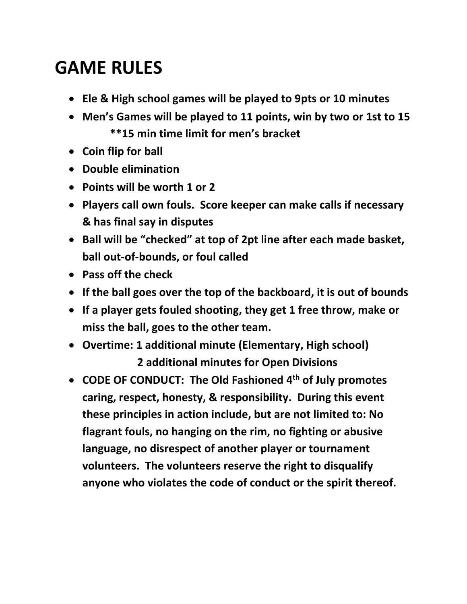## **GAME RULES**

- **Ele & High school games will be played to 9pts or 10 minutes**
- **Men's Games will be played to 11 points, win by two or 1st to 15 \*\*15 min time limit for men's bracket**
- **Coin flip for ball**
- **Double elimination**
- **Points will be worth 1 or 2**
- **Players call own fouls. Score keeper can make calls if necessary & has final say in disputes**
- **Ball will be "checked" at top of 2pt line after each made basket, ball out-of-bounds, or foul called**
- **Pass off the check**
- **If the ball goes over the top of the backboard, it is out of bounds**
- **If a player gets fouled shooting, they get 1 free throw, make or miss the ball, goes to the other team.**
- **Overtime: 1 additional minute (Elementary, High school) 2 additional minutes for Open Divisions**
- **CODE OF CONDUCT: The Old Fashioned 4th of July promotes caring, respect, honesty, & responsibility. During this event these principles in action include, but are not limited to: No flagrant fouls, no hanging on the rim, no fighting or abusive language, no disrespect of another player or tournament volunteers. The volunteers reserve the right to disqualify anyone who violates the code of conduct or the spirit thereof.**